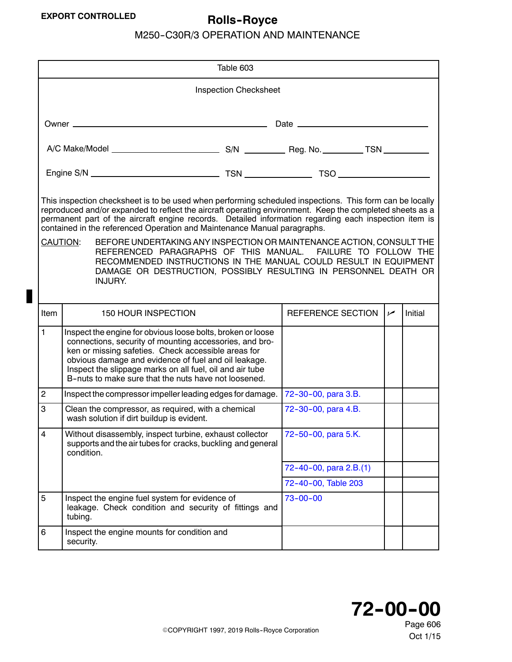П

## M250-C30R/3 OPERATION AND MAINTENANCE

<span id="page-0-0"></span>

|                | Table 603                                                                                                                                                                                                                                                                                                                                                                                                                                                                                                                                                                                                                                                                                                             |                        |            |         |  |
|----------------|-----------------------------------------------------------------------------------------------------------------------------------------------------------------------------------------------------------------------------------------------------------------------------------------------------------------------------------------------------------------------------------------------------------------------------------------------------------------------------------------------------------------------------------------------------------------------------------------------------------------------------------------------------------------------------------------------------------------------|------------------------|------------|---------|--|
|                | <b>Inspection Checksheet</b>                                                                                                                                                                                                                                                                                                                                                                                                                                                                                                                                                                                                                                                                                          |                        |            |         |  |
|                |                                                                                                                                                                                                                                                                                                                                                                                                                                                                                                                                                                                                                                                                                                                       |                        |            |         |  |
|                |                                                                                                                                                                                                                                                                                                                                                                                                                                                                                                                                                                                                                                                                                                                       |                        |            |         |  |
|                |                                                                                                                                                                                                                                                                                                                                                                                                                                                                                                                                                                                                                                                                                                                       |                        |            |         |  |
|                |                                                                                                                                                                                                                                                                                                                                                                                                                                                                                                                                                                                                                                                                                                                       |                        |            |         |  |
|                | This inspection checksheet is to be used when performing scheduled inspections. This form can be locally<br>reproduced and/or expanded to reflect the aircraft operating environment. Keep the completed sheets as a<br>permanent part of the aircraft engine records. Detailed information regarding each inspection item is<br>contained in the referenced Operation and Maintenance Manual paragraphs.<br>CAUTION:<br>BEFORE UNDERTAKING ANY INSPECTION OR MAINTENANCE ACTION, CONSULT THE<br>REFERENCED PARAGRAPHS OF THIS MANUAL. FAILURE TO FOLLOW THE<br>RECOMMENDED INSTRUCTIONS IN THE MANUAL COULD RESULT IN EQUIPMENT<br>DAMAGE OR DESTRUCTION, POSSIBLY RESULTING IN PERSONNEL DEATH OR<br><b>INJURY.</b> |                        |            |         |  |
| Item           | 150 HOUR INSPECTION                                                                                                                                                                                                                                                                                                                                                                                                                                                                                                                                                                                                                                                                                                   | REFERENCE SECTION      | $\sqrt{ }$ | Initial |  |
| $\mathbf{1}$   | Inspect the engine for obvious loose bolts, broken or loose<br>connections, security of mounting accessories, and bro-<br>ken or missing safeties. Check accessible areas for<br>obvious damage and evidence of fuel and oil leakage.<br>Inspect the slippage marks on all fuel, oil and air tube<br>B-nuts to make sure that the nuts have not loosened.                                                                                                                                                                                                                                                                                                                                                             |                        |            |         |  |
| $\overline{c}$ | Inspect the compressor impeller leading edges for damage.                                                                                                                                                                                                                                                                                                                                                                                                                                                                                                                                                                                                                                                             | 72-30-00, para 3.B.    |            |         |  |
| 3              | Clean the compressor, as required, with a chemical<br>wash solution if dirt buildup is evident.                                                                                                                                                                                                                                                                                                                                                                                                                                                                                                                                                                                                                       | 72-30-00, para 4.B.    |            |         |  |
| 4              | Without disassembly, inspect turbine, exhaust collector<br>supports and the air tubes for cracks, buckling and general<br>condition.                                                                                                                                                                                                                                                                                                                                                                                                                                                                                                                                                                                  | 72-50-00, para 5.K.    |            |         |  |
|                |                                                                                                                                                                                                                                                                                                                                                                                                                                                                                                                                                                                                                                                                                                                       | 72-40-00, para 2.B.(1) |            |         |  |
|                |                                                                                                                                                                                                                                                                                                                                                                                                                                                                                                                                                                                                                                                                                                                       | 72-40-00, Table 203    |            |         |  |
| 5              | Inspect the engine fuel system for evidence of<br>leakage. Check condition and security of fittings and<br>tubing.                                                                                                                                                                                                                                                                                                                                                                                                                                                                                                                                                                                                    | $73 - 00 - 00$         |            |         |  |
| 6              | Inspect the engine mounts for condition and<br>security.                                                                                                                                                                                                                                                                                                                                                                                                                                                                                                                                                                                                                                                              |                        |            |         |  |

Oct 1/15 Page 606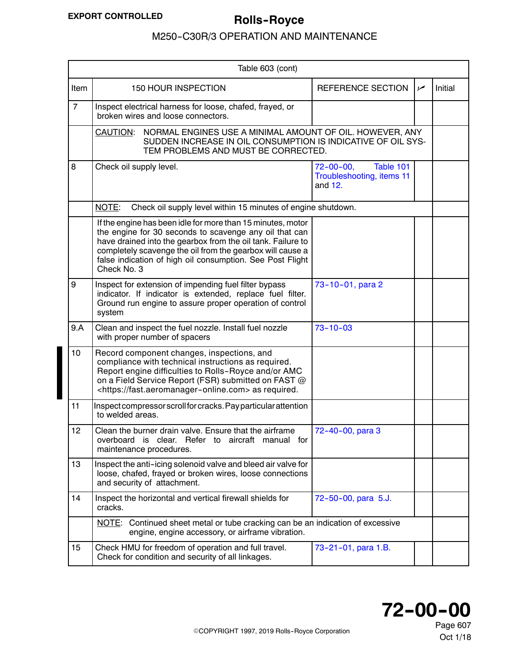<span id="page-1-0"></span>

| Table 603 (cont) |                                                                                                                                                                                                                                                                                                                               |                                                                       |     |                |  |
|------------------|-------------------------------------------------------------------------------------------------------------------------------------------------------------------------------------------------------------------------------------------------------------------------------------------------------------------------------|-----------------------------------------------------------------------|-----|----------------|--|
| Item             | <b>150 HOUR INSPECTION</b>                                                                                                                                                                                                                                                                                                    | REFERENCE SECTION                                                     | مما | <b>Initial</b> |  |
| $\overline{7}$   | Inspect electrical harness for loose, chafed, frayed, or<br>broken wires and loose connectors.                                                                                                                                                                                                                                |                                                                       |     |                |  |
|                  | NORMAL ENGINES USE A MINIMAL AMOUNT OF OIL. HOWEVER, ANY<br>CAUTION:<br>SUDDEN INCREASE IN OIL CONSUMPTION IS INDICATIVE OF OIL SYS-<br>TEM PROBLEMS AND MUST BE CORRECTED.                                                                                                                                                   |                                                                       |     |                |  |
| 8                | Check oil supply level.                                                                                                                                                                                                                                                                                                       | $72 - 00 - 00$ ,<br>Table 101<br>Troubleshooting, items 11<br>and 12. |     |                |  |
|                  | NOTE:<br>Check oil supply level within 15 minutes of engine shutdown.                                                                                                                                                                                                                                                         |                                                                       |     |                |  |
|                  | If the engine has been idle for more than 15 minutes, motor<br>the engine for 30 seconds to scavenge any oil that can<br>have drained into the gearbox from the oil tank. Failure to<br>completely scavenge the oil from the gearbox will cause a<br>false indication of high oil consumption. See Post Flight<br>Check No. 3 |                                                                       |     |                |  |
| 9                | Inspect for extension of impending fuel filter bypass<br>indicator. If indicator is extended, replace fuel filter.<br>Ground run engine to assure proper operation of control<br>system                                                                                                                                       | 73-10-01, para 2                                                      |     |                |  |
| 9.A              | Clean and inspect the fuel nozzle. Install fuel nozzle<br>with proper number of spacers                                                                                                                                                                                                                                       | $73 - 10 - 03$                                                        |     |                |  |
| 10               | Record component changes, inspections, and<br>compliance with technical instructions as required.<br>Report engine difficulties to Rolls-Royce and/or AMC<br>on a Field Service Report (FSR) submitted on FAST @<br><https: fast.aeromanager-online.com=""> as required.</https:>                                             |                                                                       |     |                |  |
| 11               | Inspect compressor scroll for cracks. Pay particular attention<br>to welded areas.                                                                                                                                                                                                                                            |                                                                       |     |                |  |
| 12               | Clean the burner drain valve. Ensure that the airframe<br>overboard is clear. Refer to aircraft manual for<br>maintenance procedures.                                                                                                                                                                                         | 72-40-00, para 3                                                      |     |                |  |
| 13               | Inspect the anti-icing solenoid valve and bleed air valve for<br>loose, chafed, frayed or broken wires, loose connections<br>and security of attachment.                                                                                                                                                                      |                                                                       |     |                |  |
| 14               | Inspect the horizontal and vertical firewall shields for<br>cracks.                                                                                                                                                                                                                                                           | 72-50-00, para 5.J.                                                   |     |                |  |
|                  | NOTE: Continued sheet metal or tube cracking can be an indication of excessive<br>engine, engine accessory, or airframe vibration.                                                                                                                                                                                            |                                                                       |     |                |  |
| 15               | Check HMU for freedom of operation and full travel.<br>Check for condition and security of all linkages.                                                                                                                                                                                                                      | 73-21-01, para 1.B.                                                   |     |                |  |



Oct 1/18 Page 607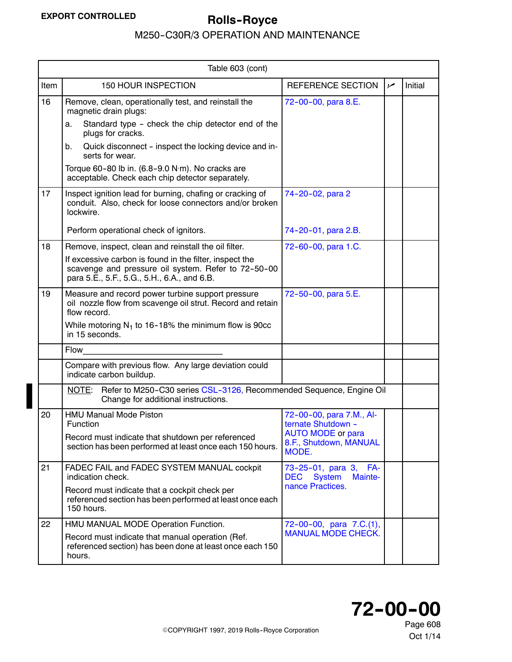<span id="page-2-0"></span>

|      | Table 603 (cont)                                                                                                                                                                                                                                                                                                                                         |                                                                                                               |            |         |  |
|------|----------------------------------------------------------------------------------------------------------------------------------------------------------------------------------------------------------------------------------------------------------------------------------------------------------------------------------------------------------|---------------------------------------------------------------------------------------------------------------|------------|---------|--|
| Item | <b>150 HOUR INSPECTION</b>                                                                                                                                                                                                                                                                                                                               | REFERENCE SECTION                                                                                             | $\sqrt{ }$ | Initial |  |
| 16   | Remove, clean, operationally test, and reinstall the<br>magnetic drain plugs:<br>Standard type - check the chip detector end of the<br>а.<br>plugs for cracks.<br>Quick disconnect - inspect the locking device and in-<br>b.<br>serts for wear.<br>Torque 60-80 lb in. (6.8-9.0 N·m). No cracks are<br>acceptable. Check each chip detector separately. | 72-00-00, para 8.E.                                                                                           |            |         |  |
| 17   | Inspect ignition lead for burning, chafing or cracking of<br>conduit. Also, check for loose connectors and/or broken<br>lockwire.<br>Perform operational check of ignitors.                                                                                                                                                                              | 74-20-02, para 2<br>74-20-01, para 2.B.                                                                       |            |         |  |
| 18   | Remove, inspect, clean and reinstall the oil filter.<br>If excessive carbon is found in the filter, inspect the<br>scavenge and pressure oil system. Refer to 72-50-00<br>para 5.E., 5.F., 5.G., 5.H., 6.A., and 6.B.                                                                                                                                    | 72-60-00, para 1.C.                                                                                           |            |         |  |
| 19   | Measure and record power turbine support pressure<br>oil nozzle flow from scavenge oil strut. Record and retain<br>flow record.<br>While motoring $N_1$ to 16-18% the minimum flow is 90cc<br>in 15 seconds.                                                                                                                                             | 72-50-00, para 5.E.                                                                                           |            |         |  |
|      | Flow                                                                                                                                                                                                                                                                                                                                                     |                                                                                                               |            |         |  |
|      | Compare with previous flow. Any large deviation could<br>indicate carbon buildup.                                                                                                                                                                                                                                                                        |                                                                                                               |            |         |  |
|      | Refer to M250-C30 series CSL-3126, Recommended Sequence, Engine Oil<br><u>NOTE:</u><br>Change for additional instructions.                                                                                                                                                                                                                               |                                                                                                               |            |         |  |
| 20   | <b>HMU Manual Mode Piston</b><br>Function<br>Record must indicate that shutdown per referenced<br>section has been performed at least once each 150 hours.                                                                                                                                                                                               | 72-00-00, para 7.M., Al-<br>ternate Shutdown -<br><b>AUTO MODE or para</b><br>8.F., Shutdown, MANUAL<br>MODE. |            |         |  |
| 21   | FADEC FAIL and FADEC SYSTEM MANUAL cockpit<br>indication check.<br>Record must indicate that a cockpit check per<br>referenced section has been performed at least once each<br>150 hours.                                                                                                                                                               | 73-25-01, para 3, FA-<br><b>DEC</b><br>Mainte-<br><b>System</b><br>nance Practices.                           |            |         |  |
| 22   | HMU MANUAL MODE Operation Function.<br>Record must indicate that manual operation (Ref.<br>referenced section) has been done at least once each 150<br>hours.                                                                                                                                                                                            | 72-00-00, para 7.C.(1),<br><b>MANUAL MODE CHECK.</b>                                                          |            |         |  |

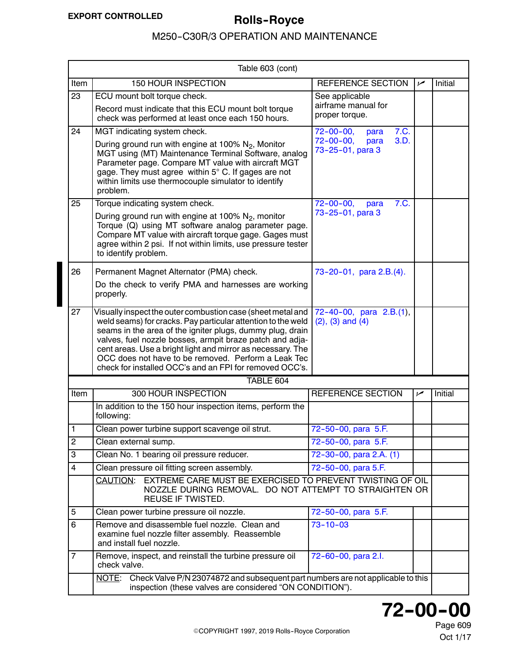| Table 603 (cont) |                                                                                                                                                                                                                                                                                                                                                                                                                                       |                                                      |                |         |
|------------------|---------------------------------------------------------------------------------------------------------------------------------------------------------------------------------------------------------------------------------------------------------------------------------------------------------------------------------------------------------------------------------------------------------------------------------------|------------------------------------------------------|----------------|---------|
| Item             | 150 HOUR INSPECTION                                                                                                                                                                                                                                                                                                                                                                                                                   | REFERENCE SECTION                                    | $\overline{r}$ | Initial |
| 23               | ECU mount bolt torque check.                                                                                                                                                                                                                                                                                                                                                                                                          | See applicable                                       |                |         |
|                  | Record must indicate that this ECU mount bolt torque<br>check was performed at least once each 150 hours.                                                                                                                                                                                                                                                                                                                             | airframe manual for<br>proper torque.                |                |         |
| 24               | MGT indicating system check.                                                                                                                                                                                                                                                                                                                                                                                                          | $72 - 00 - 00,$<br>7.C.<br>para                      |                |         |
|                  | During ground run with engine at 100% $N_2$ , Monitor<br>MGT using (MT) Maintenance Terminal Software, analog<br>Parameter page. Compare MT value with aircraft MGT<br>gage. They must agree within 5° C. If gages are not<br>within limits use thermocouple simulator to identify<br>problem.                                                                                                                                        | $72 - 00 - 00$ ,<br>3.D.<br>para<br>73-25-01, para 3 |                |         |
| 25               | Torque indicating system check.                                                                                                                                                                                                                                                                                                                                                                                                       | $72 - 00 - 00,$<br>7.C.<br>para                      |                |         |
|                  | During ground run with engine at 100% $N_2$ , monitor<br>Torque (Q) using MT software analog parameter page.<br>Compare MT value with aircraft torque gage. Gages must<br>agree within 2 psi. If not within limits, use pressure tester<br>to identify problem.                                                                                                                                                                       | 73-25-01, para 3                                     |                |         |
| 26               | Permanent Magnet Alternator (PMA) check.                                                                                                                                                                                                                                                                                                                                                                                              | 73-20-01, para 2.B.(4).                              |                |         |
|                  | Do the check to verify PMA and harnesses are working<br>properly.                                                                                                                                                                                                                                                                                                                                                                     |                                                      |                |         |
| 27               | Visually inspect the outer combustion case (sheet metal and<br>weld seams) for cracks. Pay particular attention to the weld<br>seams in the area of the igniter plugs, dummy plug, drain<br>valves, fuel nozzle bosses, armpit braze patch and adja-<br>cent areas. Use a bright light and mirror as necessary. The<br>OCC does not have to be removed. Perform a Leak Tec<br>check for installed OCC's and an FPI for removed OCC's. | 72-40-00, para 2.B.(1),<br>$(2)$ , $(3)$ and $(4)$   |                |         |
|                  | TABLE 604                                                                                                                                                                                                                                                                                                                                                                                                                             |                                                      |                |         |
| Item             | 300 HOUR INSPECTION                                                                                                                                                                                                                                                                                                                                                                                                                   | <b>REFERENCE SECTION</b>                             | ممرا           | Initial |
|                  | In addition to the 150 hour inspection items, perform the<br>following:                                                                                                                                                                                                                                                                                                                                                               |                                                      |                |         |
| 1                | Clean power turbine support scavenge oil strut.                                                                                                                                                                                                                                                                                                                                                                                       | 72-50-00, para 5.F.                                  |                |         |
| $\overline{c}$   | Clean external sump.                                                                                                                                                                                                                                                                                                                                                                                                                  | 72-50-00, para 5.F.                                  |                |         |
| 3                | Clean No. 1 bearing oil pressure reducer.                                                                                                                                                                                                                                                                                                                                                                                             | 72-30-00, para 2.A. (1)                              |                |         |
| 4                | Clean pressure oil fitting screen assembly.                                                                                                                                                                                                                                                                                                                                                                                           | 72-50-00, para 5.F.                                  |                |         |
|                  | CAUTION: EXTREME CARE MUST BE EXERCISED TO PREVENT TWISTING OF OIL<br>NOZZLE DURING REMOVAL. DO NOT ATTEMPT TO STRAIGHTEN OR<br>REUSE IF TWISTED.                                                                                                                                                                                                                                                                                     |                                                      |                |         |
| 5                | Clean power turbine pressure oil nozzle.                                                                                                                                                                                                                                                                                                                                                                                              | 72-50-00, para 5.F.                                  |                |         |
| 6                | Remove and disassemble fuel nozzle. Clean and<br>examine fuel nozzle filter assembly. Reassemble<br>and install fuel nozzle.                                                                                                                                                                                                                                                                                                          | $73 - 10 - 03$                                       |                |         |
| $\overline{7}$   | Remove, inspect, and reinstall the turbine pressure oil<br>check valve.                                                                                                                                                                                                                                                                                                                                                               | 72-60-00, para 2.l.                                  |                |         |
|                  | NOTE: Check Valve P/N 23074872 and subsequent part numbers are not applicable to this<br>inspection (these valves are considered "ON CONDITION").                                                                                                                                                                                                                                                                                     |                                                      |                |         |

**72--00--00**

Oct 1/17 Page 609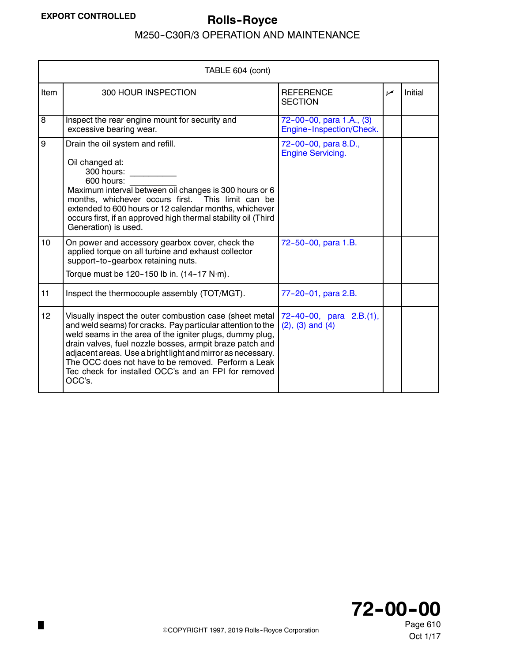<span id="page-4-0"></span>

| TABLE 604 (cont) |                                                                                                                                                                                                                                                                                                                                                                                                                                        |                                                      |      |         |  |
|------------------|----------------------------------------------------------------------------------------------------------------------------------------------------------------------------------------------------------------------------------------------------------------------------------------------------------------------------------------------------------------------------------------------------------------------------------------|------------------------------------------------------|------|---------|--|
| Item             | 300 HOUR INSPECTION                                                                                                                                                                                                                                                                                                                                                                                                                    | <b>REFERENCE</b><br><b>SECTION</b>                   | ممرا | Initial |  |
| 8                | Inspect the rear engine mount for security and<br>excessive bearing wear.                                                                                                                                                                                                                                                                                                                                                              | 72-00-00, para 1.A., (3)<br>Engine-Inspection/Check. |      |         |  |
| 9                | Drain the oil system and refill.<br>Oil changed at:<br>300 hours:<br>600 hours:<br>Maximum interval between oil changes is 300 hours or 6<br>months, whichever occurs first. This limit can be<br>extended to 600 hours or 12 calendar months, whichever<br>occurs first, if an approved high thermal stability oil (Third<br>Generation) is used.                                                                                     | 72-00-00, para 8.D.,<br><b>Engine Servicing.</b>     |      |         |  |
| 10               | On power and accessory gearbox cover, check the<br>applied torque on all turbine and exhaust collector<br>support-to-gearbox retaining nuts.<br>Torque must be 120-150 lb in. $(14-17 \text{ N}\cdot\text{m})$ .                                                                                                                                                                                                                       | 72-50-00, para 1.B.                                  |      |         |  |
| 11               | Inspect the thermocouple assembly (TOT/MGT).                                                                                                                                                                                                                                                                                                                                                                                           | 77-20-01, para 2.B.                                  |      |         |  |
| 12               | Visually inspect the outer combustion case (sheet metal<br>and weld seams) for cracks. Pay particular attention to the<br>weld seams in the area of the igniter plugs, dummy plug,<br>drain valves, fuel nozzle bosses, armpit braze patch and<br>adjacent areas. Use a bright light and mirror as necessary.<br>The OCC does not have to be removed. Perform a Leak<br>Tec check for installed OCC's and an FPI for removed<br>OCC's. | 72-40-00, para 2.B.(1),<br>$(2)$ , $(3)$ and $(4)$   |      |         |  |



Oct 1/17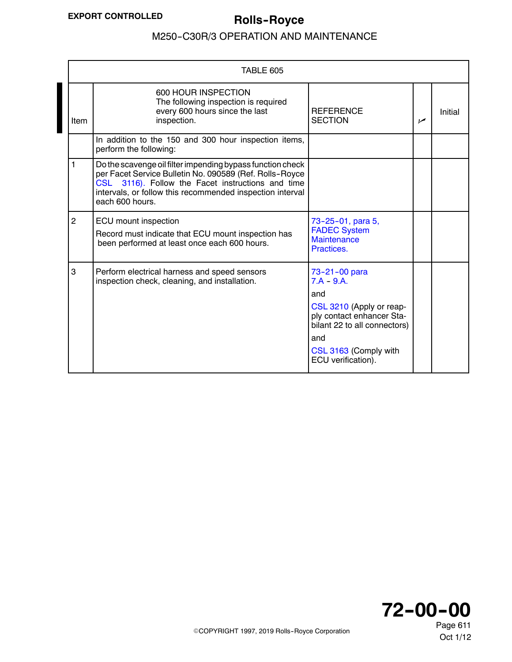<span id="page-5-0"></span>

|                | TABLE 605                                                                                                                                                                                                                                                  |                                                                                                                                                                                     |     |         |  |  |
|----------------|------------------------------------------------------------------------------------------------------------------------------------------------------------------------------------------------------------------------------------------------------------|-------------------------------------------------------------------------------------------------------------------------------------------------------------------------------------|-----|---------|--|--|
| Item           | 600 HOUR INSPECTION<br>The following inspection is required<br>every 600 hours since the last<br>inspection.                                                                                                                                               | <b>REFERENCE</b><br><b>SECTION</b>                                                                                                                                                  | مما | Initial |  |  |
|                | In addition to the 150 and 300 hour inspection items,<br>perform the following:                                                                                                                                                                            |                                                                                                                                                                                     |     |         |  |  |
| 1              | Do the scavenge oil filter impending bypass function check<br>per Facet Service Bulletin No. 090589 (Ref. Rolls-Royce<br>CSL 3116). Follow the Facet instructions and time<br>intervals, or follow this recommended inspection interval<br>each 600 hours. |                                                                                                                                                                                     |     |         |  |  |
| $\overline{2}$ | ECU mount inspection<br>Record must indicate that ECU mount inspection has<br>been performed at least once each 600 hours.                                                                                                                                 | 73-25-01, para 5,<br><b>FADEC System</b><br><b>Maintenance</b><br>Practices.                                                                                                        |     |         |  |  |
| 3              | Perform electrical harness and speed sensors<br>inspection check, cleaning, and installation.                                                                                                                                                              | 73-21-00 para<br>$7.A - 9.A.$<br>and<br>CSL 3210 (Apply or reap-<br>ply contact enhancer Sta-<br>bilant 22 to all connectors)<br>and<br>CSL 3163 (Comply with<br>ECU verification). |     |         |  |  |

**72--00--00**

ECOPYRIGHT 1997, 2019 Rolls--Royce Corporation

Oct 1/12 Page 611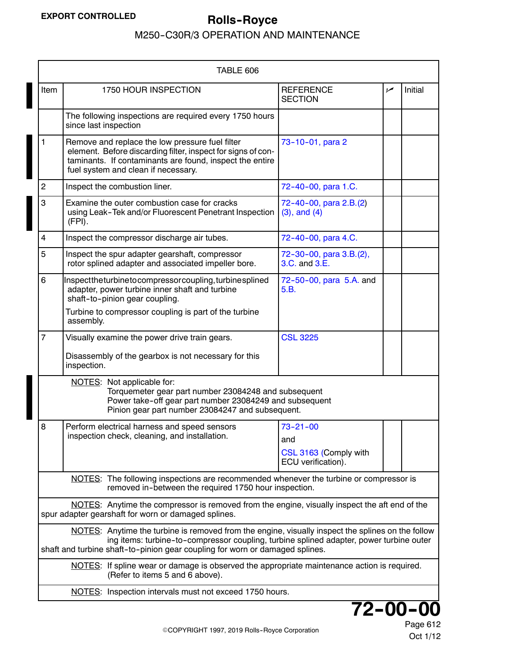<span id="page-6-0"></span>

|                                                                                                                                | TABLE 606                                                                                                                                                                                                                                                                    |                                             |     |                |
|--------------------------------------------------------------------------------------------------------------------------------|------------------------------------------------------------------------------------------------------------------------------------------------------------------------------------------------------------------------------------------------------------------------------|---------------------------------------------|-----|----------------|
| Item                                                                                                                           | 1750 HOUR INSPECTION                                                                                                                                                                                                                                                         | <b>REFERENCE</b><br><b>SECTION</b>          | سما | Initial        |
|                                                                                                                                | The following inspections are required every 1750 hours<br>since last inspection                                                                                                                                                                                             |                                             |     |                |
| 1                                                                                                                              | Remove and replace the low pressure fuel filter<br>element. Before discarding filter, inspect for signs of con-<br>taminants. If contaminants are found, inspect the entire<br>fuel system and clean if necessary.                                                           | 73-10-01, para 2                            |     |                |
| $\overline{c}$                                                                                                                 | Inspect the combustion liner.                                                                                                                                                                                                                                                | 72-40-00, para 1.C.                         |     |                |
| 3                                                                                                                              | Examine the outer combustion case for cracks<br>using Leak-Tek and/or Fluorescent Penetrant Inspection<br>(FPI).                                                                                                                                                             | 72-40-00, para 2.B.(2)<br>$(3)$ , and $(4)$ |     |                |
| 4                                                                                                                              | Inspect the compressor discharge air tubes.                                                                                                                                                                                                                                  | 72-40-00, para 4.C.                         |     |                |
| 5                                                                                                                              | Inspect the spur adapter gearshaft, compressor<br>rotor splined adapter and associated impeller bore.                                                                                                                                                                        | 72-30-00, para 3.B.(2),<br>3.C. and 3.E.    |     |                |
| 6                                                                                                                              | Inspecttheturbinetocompressorcoupling, turbinesplined<br>adapter, power turbine inner shaft and turbine<br>shaft-to-pinion gear coupling.                                                                                                                                    | 72-50-00, para 5.A. and<br>5.B.             |     |                |
|                                                                                                                                | Turbine to compressor coupling is part of the turbine<br>assembly.                                                                                                                                                                                                           |                                             |     |                |
| $\overline{7}$                                                                                                                 | Visually examine the power drive train gears.                                                                                                                                                                                                                                | <b>CSL 3225</b>                             |     |                |
|                                                                                                                                | Disassembly of the gearbox is not necessary for this<br>inspection.                                                                                                                                                                                                          |                                             |     |                |
|                                                                                                                                | NOTES: Not applicable for:<br>Torquemeter gear part number 23084248 and subsequent<br>Power take-off gear part number 23084249 and subsequent<br>Pinion gear part number 23084247 and subsequent.                                                                            |                                             |     |                |
| 8                                                                                                                              | Perform electrical harness and speed sensors                                                                                                                                                                                                                                 | $73 - 21 - 00$                              |     |                |
|                                                                                                                                | inspection check, cleaning, and installation.                                                                                                                                                                                                                                | and                                         |     |                |
|                                                                                                                                |                                                                                                                                                                                                                                                                              | CSL 3163 (Comply with<br>ECU verification). |     |                |
|                                                                                                                                | NOTES: The following inspections are recommended whenever the turbine or compressor is<br>removed in-between the required 1750 hour inspection.                                                                                                                              |                                             |     |                |
|                                                                                                                                | NOTES: Anytime the compressor is removed from the engine, visually inspect the aft end of the<br>spur adapter gearshaft for worn or damaged splines.                                                                                                                         |                                             |     |                |
|                                                                                                                                | NOTES: Anytime the turbine is removed from the engine, visually inspect the splines on the follow<br>ing items: turbine-to-compressor coupling, turbine splined adapter, power turbine outer<br>shaft and turbine shaft-to-pinion gear coupling for worn or damaged splines. |                                             |     |                |
| NOTES: If spline wear or damage is observed the appropriate maintenance action is required.<br>(Refer to items 5 and 6 above). |                                                                                                                                                                                                                                                                              |                                             |     |                |
|                                                                                                                                | NOTES: Inspection intervals must not exceed 1750 hours.                                                                                                                                                                                                                      |                                             |     |                |
|                                                                                                                                |                                                                                                                                                                                                                                                                              |                                             |     | $72 - 00 - 00$ |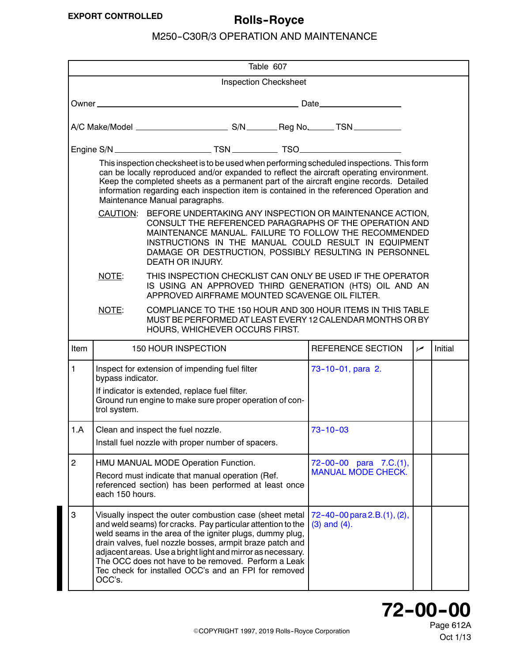<span id="page-7-0"></span>

|                                                                                                                                                                                                                                                                                                                                   |                                   | Table 607                                                                                                                                                                                                                                                                                                                                                                                                                    |  |                                                          |     |         |
|-----------------------------------------------------------------------------------------------------------------------------------------------------------------------------------------------------------------------------------------------------------------------------------------------------------------------------------|-----------------------------------|------------------------------------------------------------------------------------------------------------------------------------------------------------------------------------------------------------------------------------------------------------------------------------------------------------------------------------------------------------------------------------------------------------------------------|--|----------------------------------------------------------|-----|---------|
|                                                                                                                                                                                                                                                                                                                                   |                                   | <b>Inspection Checksheet</b>                                                                                                                                                                                                                                                                                                                                                                                                 |  |                                                          |     |         |
|                                                                                                                                                                                                                                                                                                                                   |                                   |                                                                                                                                                                                                                                                                                                                                                                                                                              |  |                                                          |     |         |
|                                                                                                                                                                                                                                                                                                                                   |                                   |                                                                                                                                                                                                                                                                                                                                                                                                                              |  |                                                          |     |         |
|                                                                                                                                                                                                                                                                                                                                   |                                   |                                                                                                                                                                                                                                                                                                                                                                                                                              |  |                                                          |     |         |
|                                                                                                                                                                                                                                                                                                                                   |                                   | This inspection checksheet is to be used when performing scheduled inspections. This form<br>can be locally reproduced and/or expanded to reflect the aircraft operating environment.<br>Keep the completed sheets as a permanent part of the aircraft engine records. Detailed<br>information regarding each inspection item is contained in the referenced Operation and<br>Maintenance Manual paragraphs.                 |  |                                                          |     |         |
| CAUTION: BEFORE UNDERTAKING ANY INSPECTION OR MAINTENANCE ACTION,<br>CONSULT THE REFERENCED PARAGRAPHS OF THE OPERATION AND<br>MAINTENANCE MANUAL. FAILURE TO FOLLOW THE RECOMMENDED<br>INSTRUCTIONS IN THE MANUAL COULD RESULT IN EQUIPMENT<br>DAMAGE OR DESTRUCTION, POSSIBLY RESULTING IN PERSONNEL<br><b>DEATH OR INJURY.</b> |                                   |                                                                                                                                                                                                                                                                                                                                                                                                                              |  |                                                          |     |         |
|                                                                                                                                                                                                                                                                                                                                   | NOTE:                             | THIS INSPECTION CHECKLIST CAN ONLY BE USED IF THE OPERATOR<br>IS USING AN APPROVED THIRD GENERATION (HTS) OIL AND AN<br>APPROVED AIRFRAME MOUNTED SCAVENGE OIL FILTER.                                                                                                                                                                                                                                                       |  |                                                          |     |         |
|                                                                                                                                                                                                                                                                                                                                   | NOTE:                             | COMPLIANCE TO THE 150 HOUR AND 300 HOUR ITEMS IN THIS TABLE<br>MUST BE PERFORMED AT LEAST EVERY 12 CALENDAR MONTHS OR BY<br>HOURS, WHICHEVER OCCURS FIRST.                                                                                                                                                                                                                                                                   |  |                                                          |     |         |
| Item                                                                                                                                                                                                                                                                                                                              |                                   | <b>150 HOUR INSPECTION</b>                                                                                                                                                                                                                                                                                                                                                                                                   |  | REFERENCE SECTION                                        | سما | Initial |
| 1                                                                                                                                                                                                                                                                                                                                 | bypass indicator.<br>trol system. | Inspect for extension of impending fuel filter<br>If indicator is extended, replace fuel filter.<br>Ground run engine to make sure proper operation of con-                                                                                                                                                                                                                                                                  |  | 73-10-01, para 2.                                        |     |         |
| 1.A                                                                                                                                                                                                                                                                                                                               |                                   | Clean and inspect the fuel nozzle.<br>Install fuel nozzle with proper number of spacers.                                                                                                                                                                                                                                                                                                                                     |  | $73 - 10 - 03$                                           |     |         |
| $\overline{2}$                                                                                                                                                                                                                                                                                                                    | each 150 hours.                   | HMU MANUAL MODE Operation Function.<br>Record must indicate that manual operation (Ref.<br>referenced section) has been performed at least once                                                                                                                                                                                                                                                                              |  | 72-00-00 para 7.C.(1),<br><b>MANUAL MODE CHECK.</b>      |     |         |
| 3                                                                                                                                                                                                                                                                                                                                 | OCC's.                            | Visually inspect the outer combustion case (sheet metal<br>and weld seams) for cracks. Pay particular attention to the<br>weld seams in the area of the igniter plugs, dummy plug,<br>drain valves, fuel nozzle bosses, armpit braze patch and<br>adjacent areas. Use a bright light and mirror as necessary.<br>The OCC does not have to be removed. Perform a Leak<br>Tec check for installed OCC's and an FPI for removed |  | $72 - 40 - 00$ para $2.B.(1), (2),$<br>$(3)$ and $(4)$ . |     |         |



Oct 1/13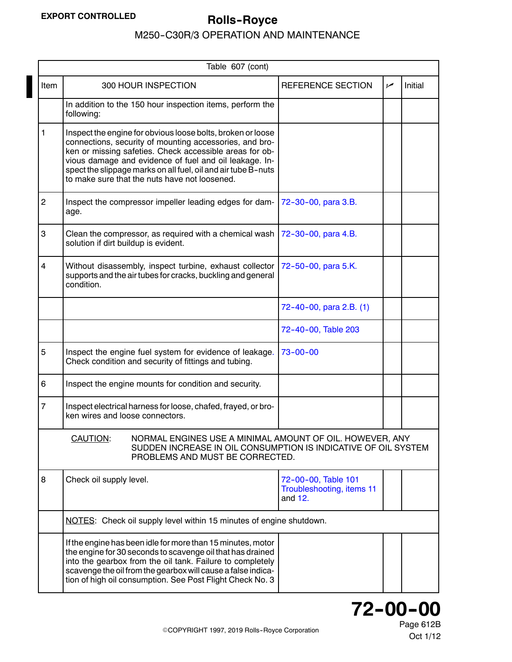|                | Table 607 (cont)                                                                                                                                                                                                                                                                                                                                              |                                                             |      |         |  |  |
|----------------|---------------------------------------------------------------------------------------------------------------------------------------------------------------------------------------------------------------------------------------------------------------------------------------------------------------------------------------------------------------|-------------------------------------------------------------|------|---------|--|--|
| Item           | 300 HOUR INSPECTION                                                                                                                                                                                                                                                                                                                                           | <b>REFERENCE SECTION</b>                                    | ممرا | Initial |  |  |
|                | In addition to the 150 hour inspection items, perform the<br>following:                                                                                                                                                                                                                                                                                       |                                                             |      |         |  |  |
| 1              | Inspect the engine for obvious loose bolts, broken or loose<br>connections, security of mounting accessories, and bro-<br>ken or missing safeties. Check accessible areas for ob-<br>vious damage and evidence of fuel and oil leakage. In-<br>spect the slippage marks on all fuel, oil and air tube B-nuts<br>to make sure that the nuts have not loosened. |                                                             |      |         |  |  |
| $\overline{c}$ | Inspect the compressor impeller leading edges for dam-<br>age.                                                                                                                                                                                                                                                                                                | 72-30-00, para 3.B.                                         |      |         |  |  |
| 3              | Clean the compressor, as required with a chemical wash<br>solution if dirt buildup is evident.                                                                                                                                                                                                                                                                | 72-30-00, para 4.B.                                         |      |         |  |  |
| 4              | Without disassembly, inspect turbine, exhaust collector<br>supports and the air tubes for cracks, buckling and general<br>condition.                                                                                                                                                                                                                          | 72-50-00, para 5.K.                                         |      |         |  |  |
|                |                                                                                                                                                                                                                                                                                                                                                               | 72-40-00, para 2.B. (1)                                     |      |         |  |  |
|                |                                                                                                                                                                                                                                                                                                                                                               | 72-40-00, Table 203                                         |      |         |  |  |
| 5              | Inspect the engine fuel system for evidence of leakage.<br>Check condition and security of fittings and tubing.                                                                                                                                                                                                                                               | $73 - 00 - 00$                                              |      |         |  |  |
| 6              | Inspect the engine mounts for condition and security.                                                                                                                                                                                                                                                                                                         |                                                             |      |         |  |  |
| 7              | Inspect electrical harness for loose, chafed, frayed, or bro-<br>ken wires and loose connectors.                                                                                                                                                                                                                                                              |                                                             |      |         |  |  |
|                | NORMAL ENGINES USE A MINIMAL AMOUNT OF OIL. HOWEVER, ANY<br>CAUTION:<br>SUDDEN INCREASE IN OIL CONSUMPTION IS INDICATIVE OF OIL SYSTEM<br>PROBLEMS AND MUST BE CORRECTED.                                                                                                                                                                                     |                                                             |      |         |  |  |
| 8              | Check oil supply level.                                                                                                                                                                                                                                                                                                                                       | 72-00-00, Table 101<br>Troubleshooting, items 11<br>and 12. |      |         |  |  |
|                | NOTES: Check oil supply level within 15 minutes of engine shutdown.                                                                                                                                                                                                                                                                                           |                                                             |      |         |  |  |
|                | If the engine has been idle for more than 15 minutes, motor<br>the engine for 30 seconds to scavenge oil that has drained<br>into the gearbox from the oil tank. Failure to completely<br>scavenge the oil from the gearbox will cause a false indica-<br>tion of high oil consumption. See Post Flight Check No. 3                                           |                                                             |      |         |  |  |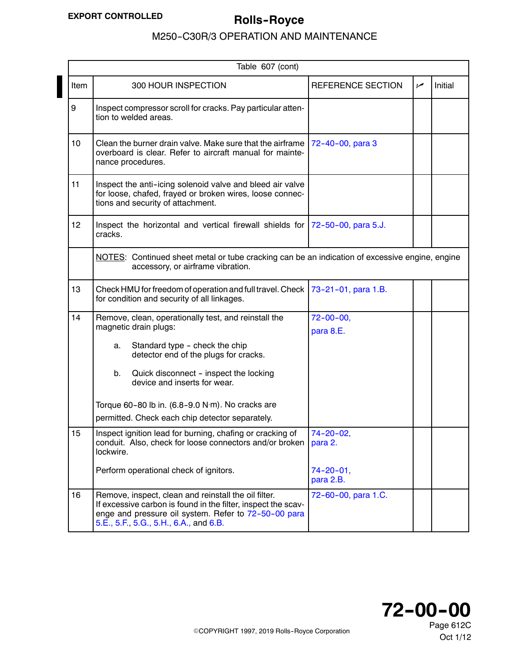|                 | Table 607 (cont)                                                                                                                                                                                                        |                               |     |         |
|-----------------|-------------------------------------------------------------------------------------------------------------------------------------------------------------------------------------------------------------------------|-------------------------------|-----|---------|
| Item            | 300 HOUR INSPECTION                                                                                                                                                                                                     | <b>REFERENCE SECTION</b>      | سما | Initial |
| 9               | Inspect compressor scroll for cracks. Pay particular atten-<br>tion to welded areas.                                                                                                                                    |                               |     |         |
| 10              | Clean the burner drain valve. Make sure that the airframe<br>overboard is clear. Refer to aircraft manual for mainte-<br>nance procedures.                                                                              | 72-40-00, para 3              |     |         |
| 11              | Inspect the anti-icing solenoid valve and bleed air valve<br>for loose, chafed, frayed or broken wires, loose connec-<br>tions and security of attachment.                                                              |                               |     |         |
| 12 <sub>2</sub> | Inspect the horizontal and vertical firewall shields for $72-50-00$ , para 5.J.<br>cracks.                                                                                                                              |                               |     |         |
|                 | NOTES: Continued sheet metal or tube cracking can be an indication of excessive engine, engine<br>accessory, or airframe vibration.                                                                                     |                               |     |         |
| 13              | Check HMU for freedom of operation and full travel. Check<br>for condition and security of all linkages.                                                                                                                | 73-21-01, para 1.B.           |     |         |
| 14              | Remove, clean, operationally test, and reinstall the<br>magnetic drain plugs:                                                                                                                                           | $72 - 00 - 00$ ,<br>para 8.E. |     |         |
|                 | Standard type - check the chip<br>a.<br>detector end of the plugs for cracks.                                                                                                                                           |                               |     |         |
|                 | b.<br>Quick disconnect - inspect the locking<br>device and inserts for wear.                                                                                                                                            |                               |     |         |
|                 | Torque 60-80 lb in. (6.8-9.0 N·m). No cracks are<br>permitted. Check each chip detector separately.                                                                                                                     |                               |     |         |
| 15              | Inspect ignition lead for burning, chafing or cracking of<br>conduit. Also, check for loose connectors and/or broken<br>lockwire.                                                                                       | 74-20-02,<br>para 2.          |     |         |
|                 | Perform operational check of ignitors.                                                                                                                                                                                  | $74 - 20 - 01$ ,<br>para 2.B. |     |         |
| 16              | Remove, inspect, clean and reinstall the oil filter.<br>If excessive carbon is found in the filter, inspect the scav-<br>enge and pressure oil system. Refer to 72-50-00 para<br>5.E., 5.F., 5.G., 5.H., 6.A., and 6.B. | 72-60-00, para 1.C.           |     |         |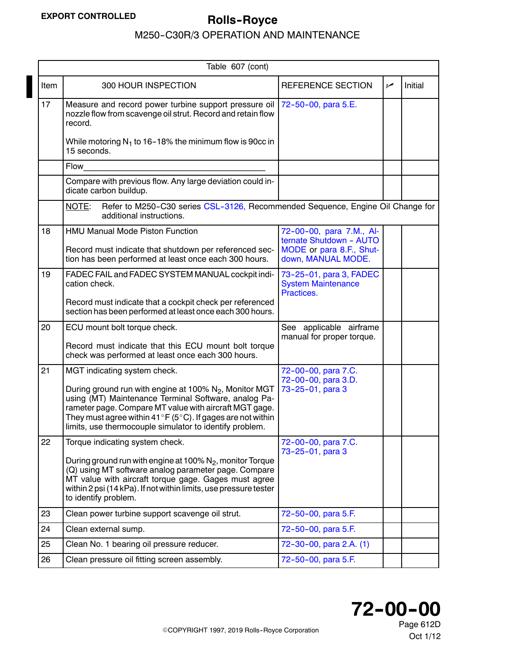<span id="page-10-0"></span>

|      | Table 607 (cont)                                                                                                                                                                                                                                                                                              |                                                                                                       |     |         |  |
|------|---------------------------------------------------------------------------------------------------------------------------------------------------------------------------------------------------------------------------------------------------------------------------------------------------------------|-------------------------------------------------------------------------------------------------------|-----|---------|--|
| Item | 300 HOUR INSPECTION                                                                                                                                                                                                                                                                                           | <b>REFERENCE SECTION</b>                                                                              | سما | Initial |  |
| 17   | Measure and record power turbine support pressure oil<br>nozzle flow from scavenge oil strut. Record and retain flow<br>record.                                                                                                                                                                               | 72-50-00, para 5.E.                                                                                   |     |         |  |
|      | While motoring $N_1$ to 16-18% the minimum flow is 90cc in<br>15 seconds.                                                                                                                                                                                                                                     |                                                                                                       |     |         |  |
|      | Flow                                                                                                                                                                                                                                                                                                          |                                                                                                       |     |         |  |
|      | Compare with previous flow. Any large deviation could in-<br>dicate carbon buildup.                                                                                                                                                                                                                           |                                                                                                       |     |         |  |
|      | Refer to M250-C30 series CSL-3126, Recommended Sequence, Engine Oil Change for<br>NOTE:<br>additional instructions.                                                                                                                                                                                           |                                                                                                       |     |         |  |
| 18   | <b>HMU Manual Mode Piston Function</b><br>Record must indicate that shutdown per referenced sec-<br>tion has been performed at least once each 300 hours.                                                                                                                                                     | 72-00-00, para 7.M., Al-<br>ternate Shutdown - AUTO<br>MODE or para 8.F., Shut-<br>down, MANUAL MODE. |     |         |  |
| 19   | FADEC FAIL and FADEC SYSTEM MANUAL cockpit indi-<br>cation check.                                                                                                                                                                                                                                             | 73-25-01, para 3, FADEC<br><b>System Maintenance</b><br>Practices.                                    |     |         |  |
|      | Record must indicate that a cockpit check per referenced<br>section has been performed at least once each 300 hours.                                                                                                                                                                                          |                                                                                                       |     |         |  |
| 20   | ECU mount bolt torque check.                                                                                                                                                                                                                                                                                  | See applicable airframe<br>manual for proper torque.                                                  |     |         |  |
|      | Record must indicate that this ECU mount bolt torque<br>check was performed at least once each 300 hours.                                                                                                                                                                                                     |                                                                                                       |     |         |  |
| 21   | MGT indicating system check.                                                                                                                                                                                                                                                                                  | 72-00-00, para 7.C.                                                                                   |     |         |  |
|      | During ground run with engine at 100% N <sub>2</sub> , Monitor MGT<br>using (MT) Maintenance Terminal Software, analog Pa-<br>rameter page. Compare MT value with aircraft MGT gage.<br>They must agree within 41°F (5°C). If gages are not within<br>limits, use thermocouple simulator to identify problem. | 72-00-00, para 3.D.<br>73-25-01, para 3                                                               |     |         |  |
| 22   | Torque indicating system check.                                                                                                                                                                                                                                                                               | 72-00-00, para 7.C.<br>73-25-01, para 3                                                               |     |         |  |
|      | During ground run with engine at 100% $N_2$ , monitor Torque<br>(Q) using MT software analog parameter page. Compare<br>MT value with aircraft torque gage. Gages must agree<br>within 2 psi (14 kPa). If not within limits, use pressure tester<br>to identify problem.                                      |                                                                                                       |     |         |  |
| 23   | Clean power turbine support scavenge oil strut.                                                                                                                                                                                                                                                               | 72-50-00, para 5.F.                                                                                   |     |         |  |
| 24   | Clean external sump.                                                                                                                                                                                                                                                                                          | 72-50-00, para 5.F.                                                                                   |     |         |  |
| 25   | Clean No. 1 bearing oil pressure reducer.                                                                                                                                                                                                                                                                     | 72-30-00, para 2.A. (1)                                                                               |     |         |  |
| 26   | Clean pressure oil fitting screen assembly.                                                                                                                                                                                                                                                                   | 72-50-00, para 5.F.                                                                                   |     |         |  |

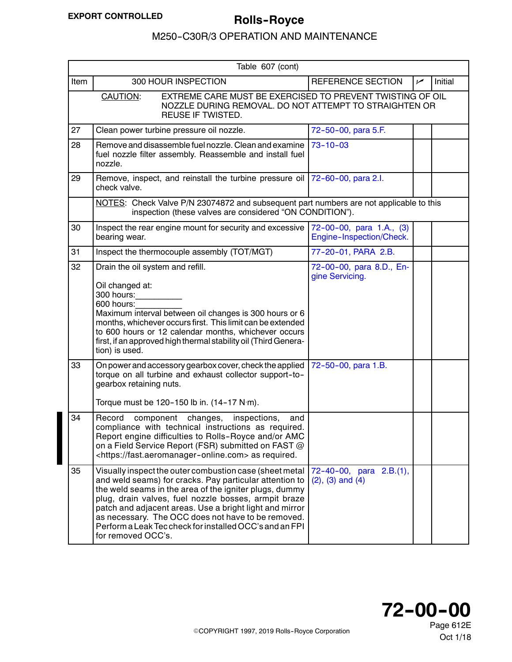<span id="page-11-0"></span>

|      | Table 607 (cont)                                                                                                                                                                                                                                                                                                                                                                                                                       |                                                    |     |         |
|------|----------------------------------------------------------------------------------------------------------------------------------------------------------------------------------------------------------------------------------------------------------------------------------------------------------------------------------------------------------------------------------------------------------------------------------------|----------------------------------------------------|-----|---------|
| Item | 300 HOUR INSPECTION                                                                                                                                                                                                                                                                                                                                                                                                                    | REFERENCE SECTION                                  | سما | Initial |
|      | EXTREME CARE MUST BE EXERCISED TO PREVENT TWISTING OF OIL<br><b>CAUTION:</b><br>NOZZLE DURING REMOVAL. DO NOT ATTEMPT TO STRAIGHTEN OR<br>REUSE IF TWISTED.                                                                                                                                                                                                                                                                            |                                                    |     |         |
| 27   | Clean power turbine pressure oil nozzle.                                                                                                                                                                                                                                                                                                                                                                                               | 72-50-00, para 5.F.                                |     |         |
| 28   | Remove and disassemble fuel nozzle. Clean and examine   73-10-03<br>fuel nozzle filter assembly. Reassemble and install fuel<br>nozzle.                                                                                                                                                                                                                                                                                                |                                                    |     |         |
| 29   | Remove, inspect, and reinstall the turbine pressure oil 72-60-00, para 2.l.<br>check valve.                                                                                                                                                                                                                                                                                                                                            |                                                    |     |         |
|      | NOTES: Check Valve P/N 23074872 and subsequent part numbers are not applicable to this<br>inspection (these valves are considered "ON CONDITION").                                                                                                                                                                                                                                                                                     |                                                    |     |         |
| 30   | Inspect the rear engine mount for security and excessive 72-00-00, para 1.A., (3)<br>bearing wear.                                                                                                                                                                                                                                                                                                                                     | Engine-Inspection/Check.                           |     |         |
| 31   | Inspect the thermocouple assembly (TOT/MGT)                                                                                                                                                                                                                                                                                                                                                                                            | 77-20-01, PARA 2.B.                                |     |         |
| 32   | Drain the oil system and refill.<br>Oil changed at:<br>300 hours:<br>600 hours:<br>Maximum interval between oil changes is 300 hours or 6<br>months, whichever occurs first. This limit can be extended<br>to 600 hours or 12 calendar months, whichever occurs<br>first, if an approved high thermal stability oil (Third Genera-<br>tion) is used.                                                                                   | 72-00-00, para 8.D., En-<br>gine Servicing.        |     |         |
| 33   | On power and accessory gearbox cover, check the applied<br>torque on all turbine and exhaust collector support-to-<br>gearbox retaining nuts.<br>Torque must be 120-150 lb in. (14-17 N·m).                                                                                                                                                                                                                                            | 72-50-00, para 1.B.                                |     |         |
| 34   | Record<br>changes,<br>inspections,<br>component<br>and<br>compliance with technical instructions as required.<br>Report engine difficulties to Rolls-Royce and/or AMC<br>on a Field Service Report (FSR) submitted on FAST @<br><https: fast.aeromanager-online.com=""> as required.</https:>                                                                                                                                          |                                                    |     |         |
| 35   | Visually inspect the outer combustion case (sheet metal<br>and weld seams) for cracks. Pay particular attention to<br>the weld seams in the area of the igniter plugs, dummy<br>plug, drain valves, fuel nozzle bosses, armpit braze<br>patch and adjacent areas. Use a bright light and mirror<br>as necessary. The OCC does not have to be removed.<br>Perform a Leak Tec check for installed OCC's and an FPI<br>for removed OCC's. | 72-40-00, para 2.B.(1),<br>$(2)$ , $(3)$ and $(4)$ |     |         |

Oct 1/18 Page 612E **72--00--00**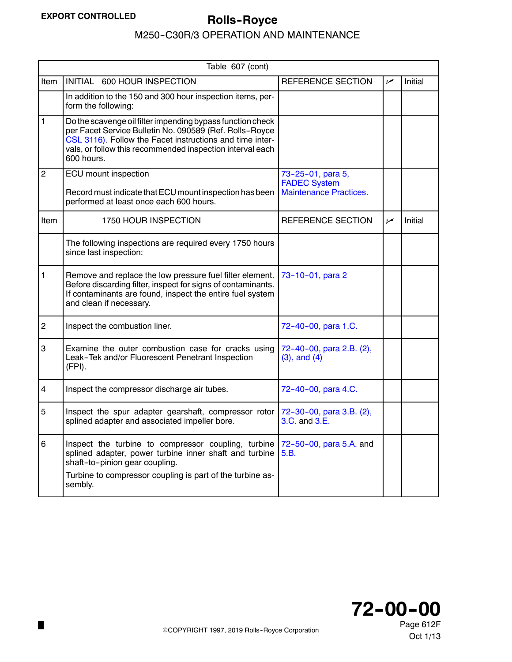<span id="page-12-0"></span>

| Table 607 (cont) |                                                                                                                                                                                                                                                              |                                                                           |     |         |  |  |  |  |  |
|------------------|--------------------------------------------------------------------------------------------------------------------------------------------------------------------------------------------------------------------------------------------------------------|---------------------------------------------------------------------------|-----|---------|--|--|--|--|--|
| Item             | INITIAL 600 HOUR INSPECTION                                                                                                                                                                                                                                  | <b>REFERENCE SECTION</b>                                                  | مما | Initial |  |  |  |  |  |
|                  | In addition to the 150 and 300 hour inspection items, per-<br>form the following:                                                                                                                                                                            |                                                                           |     |         |  |  |  |  |  |
| 1                | Do the scavenge oil filter impending bypass function check<br>per Facet Service Bulletin No. 090589 (Ref. Rolls-Royce<br>CSL 3116). Follow the Facet instructions and time inter-<br>vals, or follow this recommended inspection interval each<br>600 hours. |                                                                           |     |         |  |  |  |  |  |
| $\overline{2}$   | ECU mount inspection<br>Record must indicate that ECU mount inspection has been<br>performed at least once each 600 hours.                                                                                                                                   | 73-25-01, para 5,<br><b>FADEC System</b><br><b>Maintenance Practices.</b> |     |         |  |  |  |  |  |
| <b>Item</b>      | 1750 HOUR INSPECTION                                                                                                                                                                                                                                         | <b>REFERENCE SECTION</b>                                                  | مما | Initial |  |  |  |  |  |
|                  | The following inspections are required every 1750 hours<br>since last inspection:                                                                                                                                                                            |                                                                           |     |         |  |  |  |  |  |
| 1                | Remove and replace the low pressure fuel filter element.<br>Before discarding filter, inspect for signs of contaminants.<br>If contaminants are found, inspect the entire fuel system<br>and clean if necessary.                                             | 73-10-01, para 2                                                          |     |         |  |  |  |  |  |
| $\overline{c}$   | Inspect the combustion liner.                                                                                                                                                                                                                                | 72-40-00, para 1.C.                                                       |     |         |  |  |  |  |  |
| 3                | Examine the outer combustion case for cracks using<br>Leak-Tek and/or Fluorescent Penetrant Inspection<br>(FPI).                                                                                                                                             | 72-40-00, para 2.B. (2),<br>$(3)$ , and $(4)$                             |     |         |  |  |  |  |  |
| 4                | Inspect the compressor discharge air tubes.                                                                                                                                                                                                                  | 72-40-00, para 4.C.                                                       |     |         |  |  |  |  |  |
| 5                | Inspect the spur adapter gearshaft, compressor rotor<br>splined adapter and associated impeller bore.                                                                                                                                                        | 72-30-00, para 3.B. (2),<br>3.C. and 3.E.                                 |     |         |  |  |  |  |  |
| 6                | Inspect the turbine to compressor coupling, turbine<br>splined adapter, power turbine inner shaft and turbine<br>shaft-to-pinion gear coupling.<br>Turbine to compressor coupling is part of the turbine as-<br>sembly.                                      | 72-50-00, para 5.A. and<br>5.B.                                           |     |         |  |  |  |  |  |



Oct 1/13